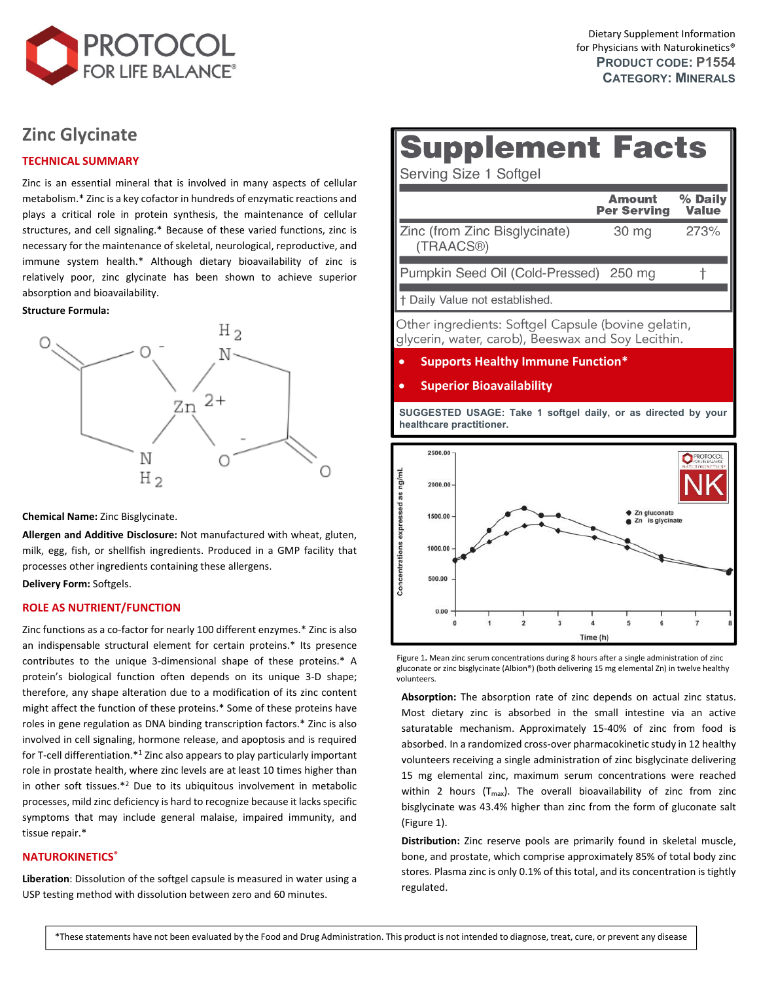

# **Zinc [Glycinate](https://www.protocolforlife.com/zinc-glycinate-30-mg-albion-traacs-zinc/)**

### **TECHNICAL SUMMARY**

Zinc is an essential mineral that is involved in many aspects of cellular metabolism.\* Zinc is a key cofactor in hundreds of enzymatic reactions and plays a critical role in protein synthesis, the maintenance of cellular structures, and cell signaling.\* Because of these varied functions, zinc is necessary for the maintenance of skeletal, neurological, reproductive, and immune system health.\* Although dietary bioavailability of zinc is relatively poor, zinc glycinate has been shown to achieve superior absorption and bioavailability.

#### **Structure Formula:**



**Chemical Name:** Zinc Bisglycinate.

**Allergen and Additive Disclosure:** Not manufactured with wheat, gluten, milk, egg, fish, or shellfish ingredients. Produced in a GMP facility that processes other ingredients containing these allergens.

**Delivery Form:** Softgels.

#### **ROLE AS NUTRIENT/FUNCTION**

Zinc functions as a co‐factor for nearly 100 different enzymes.\* Zinc is also an indispensable structural element for certain proteins.\* Its presence contributes to the unique 3‐dimensional shape of these proteins.\* A protein's biological function often depends on its unique 3‐D shape; therefore, any shape alteration due to a modification of its zinc content might affect the function of these proteins.\* Some of these proteins have roles in gene regulation as DNA binding transcription factors.\* Zinc is also involved in cell signaling, hormone release, and apoptosis and is required for T-cell differentiation.\*1 Zinc also appears to play particularly important role in prostate health, where zinc levels are at least 10 times higher than in other soft tissues.\*<sup>2</sup> Due to its ubiquitous involvement in metabolic processes, mild zinc deficiency is hard to recognize because it lacks specific symptoms that may include general malaise, impaired immunity, and tissue repair.\*

# **NATUROKINETICS®**

**Liberation**: Dissolution of the softgel capsule is measured in water using a USP testing method with dissolution between zero and 60 minutes.

# **Supplement Facts**

Serving Size 1 Softgel

|                                                          | <b>Amount</b><br><b>Per Serving</b> | % Daily<br><b>Value</b> |
|----------------------------------------------------------|-------------------------------------|-------------------------|
| Zinc (from Zinc Bisglycinate)<br>(TRAACS®)               | 30 mg                               | 273%                    |
| Pumpkin Seed Oil (Cold-Pressed) 250 mg                   |                                     |                         |
| + Daily Value not established.                           |                                     |                         |
| Other in our director Ceffred Commute (heritage metation |                                     |                         |

Other ingredients: Softgel Capsule (bovine gelatin, glycerin, water, carob), Beeswax and Soy Lecithin.

#### **Supports Healthy Immune Function\***

#### **Superior Bioavailability**

**SUGGESTED USAGE: Take 1 softgel daily, or as directed by your healthcare practitioner.**



Figure 1**.** Mean zinc serum concentrations during 8 hours after a single administration of zinc gluconate or zinc bisglycinate (Albion®) (both delivering 15 mg elemental Zn) in twelve healthy volunteers.

**Absorption:** The absorption rate of zinc depends on actual zinc status. Most dietary zinc is absorbed in the small intestine via an active saturatable mechanism. Approximately 15-40% of zinc from food is absorbed. In a randomized cross‐over pharmacokinetic study in 12 healthy volunteers receiving a single administration of zinc bisglycinate delivering 15 mg elemental zinc, maximum serum concentrations were reached within 2 hours  $(T_{max})$ . The overall bioavailability of zinc from zinc bisglycinate was 43.4% higher than zinc from the form of gluconate salt (Figure 1).

**Distribution:** Zinc reserve pools are primarily found in skeletal muscle, bone, and prostate, which comprise approximately 85% of total body zinc stores. Plasma zinc is only 0.1% of this total, and its concentration is tightly regulated.